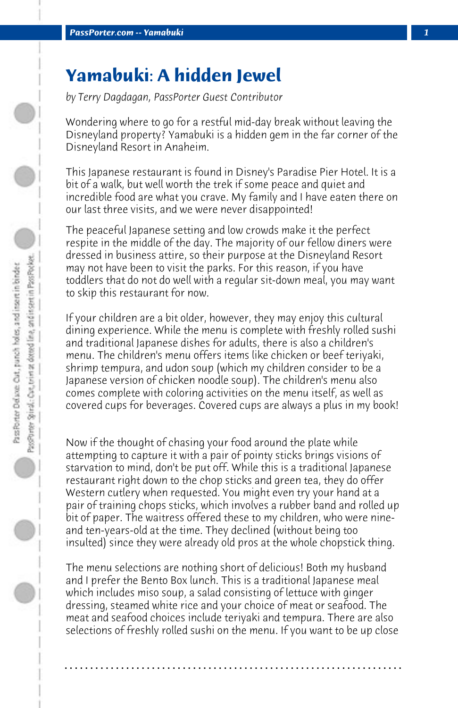## **Yamabuki: A hidden Jewel**

*by Terry Dagdagan, PassPorter Guest Contributor*

Wondering where to go for a restful mid-day break without leaving the Disneyland property? Yamabuki is a hidden gem in the far corner of the Disneyland Resort in Anaheim.

This Japanese restaurant is found in Disney's Paradise Pier Hotel. It is a bit of a walk, but well worth the trek if some peace and quiet and incredible food are what you crave. My family and I have eaten there on our last three visits, and we were never disappointed!

The peaceful Japanese setting and low crowds make it the perfect respite in the middle of the day. The majority of our fellow diners were dressed in business attire, so their purpose at the Disneyland Resort may not have been to visit the parks. For this reason, if you have toddlers that do not do well with a regular sit-down meal, you may want to skip this restaurant for now.

If your children are a bit older, however, they may enjoy this cultural dining experience. While the menu is complete with freshly rolled sushi and traditional Japanese dishes for adults, there is also a children's menu. The children's menu offers items like chicken or beef teriyaki, shrimp tempura, and udon soup (which my children consider to be a Japanese version of chicken noodle soup). The children's menu also comes complete with coloring activities on the menu itself, as well as covered cups for beverages. Covered cups are always a plus in my book!

Now if the thought of chasing your food around the plate while attempting to capture it with a pair of pointy sticks brings visions of starvation to mind, don't be put off. While this is a traditional Japanese restaurant right down to the chop sticks and green tea, they do offer Western cutlery when requested. You might even try your hand at a pair of training chops sticks, which involves a rubber band and rolled up bit of paper. The waitress offered these to my children, who were nineand ten-years-old at the time. They declined (without being too insulted) since they were already old pros at the whole chopstick thing.

The menu selections are nothing short of delicious! Both my husband and I prefer the Bento Box lunch. This is a traditional Japanese meal which includes miso soup, a salad consisting of lettuce with ginger dressing, steamed white rice and your choice of meat or seafood. The meat and seafood choices include teriyaki and tempura. There are also selections of freshly rolled sushi on the menu. If you want to be up close

**. . . . . . . . . . . . . . . . . . . . . . . . . . . . . . . . . . . . . . . . . . . . . . . . . . . . . . . . . . . . . . . . . .**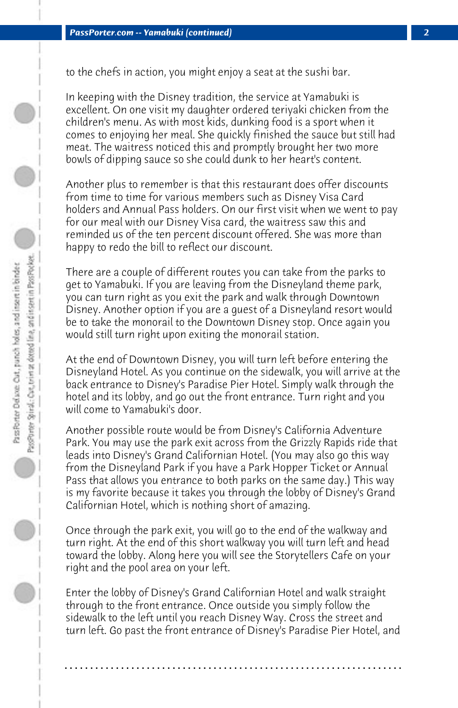to the chefs in action, you might enjoy a seat at the sushi bar.

In keeping with the Disney tradition, the service at Yamabuki is excellent. On one visit my daughter ordered teriyaki chicken from the children's menu. As with most kids, dunking food is a sport when it comes to enjoying her meal. She quickly finished the sauce but still had meat. The waitress noticed this and promptly brought her two more bowls of dipping sauce so she could dunk to her heart's content.

Another plus to remember is that this restaurant does offer discounts from time to time for various members such as Disney Visa Card holders and Annual Pass holders. On our first visit when we went to pay for our meal with our Disney Visa card, the waitress saw this and reminded us of the ten percent discount offered. She was more than happy to redo the bill to reflect our discount.

There are a couple of different routes you can take from the parks to get to Yamabuki. If you are leaving from the Disneyland theme park, you can turn right as you exit the park and walk through Downtown Disney. Another option if you are a guest of a Disneyland resort would be to take the monorail to the Downtown Disney stop. Once again you would still turn right upon exiting the monorail station.

At the end of Downtown Disney, you will turn left before entering the Disneyland Hotel. As you continue on the sidewalk, you will arrive at the back entrance to Disney's Paradise Pier Hotel. Simply walk through the hotel and its lobby, and go out the front entrance. Turn right and you will come to Yamabuki's door.

Another possible route would be from Disney's California Adventure Park. You may use the park exit across from the Grizzly Rapids ride that leads into Disney's Grand Californian Hotel. (You may also go this way from the Disneyland Park if you have a Park Hopper Ticket or Annual Pass that allows you entrance to both parks on the same day.) This way is my favorite because it takes you through the lobby of Disney's Grand Californian Hotel, which is nothing short of amazing.

Once through the park exit, you will go to the end of the walkway and turn right. At the end of this short walkway you will turn left and head toward the lobby. Along here you will see the Storytellers Cafe on your right and the pool area on your left.

Enter the lobby of Disney's Grand Californian Hotel and walk straight through to the front entrance. Once outside you simply follow the sidewalk to the left until you reach Disney Way. Cross the street and turn left. Go past the front entrance of Disney's Paradise Pier Hotel, and

**. . . . . . . . . . . . . . . . . . . . . . . . . . . . . . . . . . . . . . . . . . . . . . . . . . . . . . . . . . . . . . . . . .**